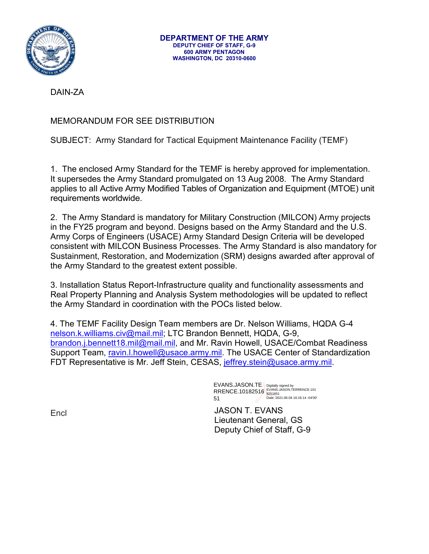

DAIN-ZA

## MEMORANDUM FOR SEE DISTRIBUTION

SUBJECT: Army Standard for Tactical Equipment Maintenance Facility (TEMF)

1. The enclosed Army Standard for the TEMF is hereby approved for implementation. It supersedes the Army Standard promulgated on 13 Aug 2008. The Army Standard applies to all Active Army Modified Tables of Organization and Equipment (MTOE) unit requirements worldwide.

2. The Army Standard is mandatory for Military Construction (MILCON) Army projects in the FY25 program and beyond. Designs based on the Army Standard and the U.S. Army Corps of Engineers (USACE) Army Standard Design Criteria will be developed consistent with MILCON Business Processes. The Army Standard is also mandatory for Sustainment, Restoration, and Modernization (SRM) designs awarded after approval of the Army Standard to the greatest extent possible.

3. Installation Status Report-Infrastructure quality and functionality assessments and Real Property Planning and Analysis System methodologies will be updated to reflect the Army Standard in coordination with the POCs listed below.

4. The TEMF Facility Design Team members are Dr. Nelson Williams, HQDA G-4 [nelson.k.williams.civ@mail.mil;](mailto:nelson.k.williams.civ@mail.mil) LTC Brandon Bennett, HQDA, G-9, [brandon.j.bennett18.mil@mail.mil,](mailto:brandon.j.bennett18.mil@mail.mil) and Mr. Ravin Howell, USACE/Combat Readiness Support Team, [ravin.l.howell@usace.army.mil.](mailto:ravin.l.howell@usace.army.mil) The USACE Center of Standardization FDT Representative is Mr. Jeff Stein, CESAS, [jeffrey.stein@usace.army.mil.](mailto:jeffrey.stein@usace.army.mil)

> EVANS.JASON.TE RRENCE.10182516 51 Digitally signed by EVANS.JASON.TERRENCE.101 8251651 Date: 2021.06.04 16:16:14 -04'00'

JASON T. EVANS Lieutenant General, GS Deputy Chief of Staff, G-9

Encl